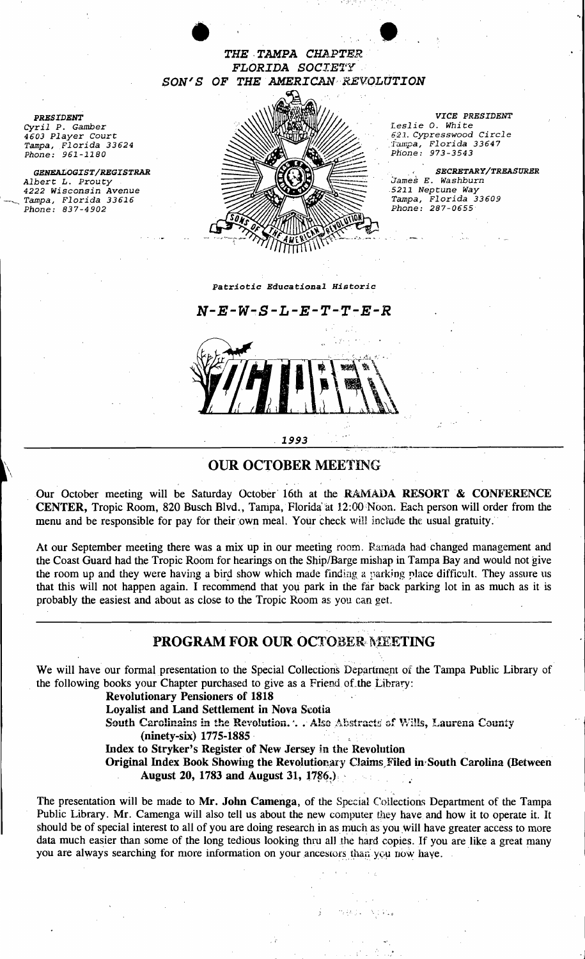

*Cyril P. Gamber* **Leslie O. White**<br>
4603 Player Court **Leslie O. White**<br>
4603 Player Court *4603 Player* Court *621. Cypresswood Circle*  Tampa, Florida 33624 : hullpa, Florida 33647 **: hullpa, Florida 33647** *GENEALOGIST/REGISTRAR* **SECRETARY/TREASURER SECRETARY/TREASURER SECRETARY/TREASURER** *Albert L. Prouty James E. Washburn James E. Washburn <i>James E. Washburn**James E. Washburn**S211 Neptune Way* 

*VICE PRESIDENT* 

",

-J

*Phone: 973-3543* 

--\_ *Tampa, Florida 33616 Tampa, Florida 33609* 

*PREStDENT* 

 $\lambda$ 

\

*Phone: 961-1180 4222 Wisconsin Avenue .5211 Neptune Way Pampa, Florida 33616*<br>*Phone: 837-4902* 



*Patriotic Educational Historic* 

# <sup>1993</sup>-------------------------~~--\_...\_

#### \ OUR OCTOBER MEETING

Our October meeting will be Saturday October 16th at the RAMADA RESORT & CONFERENCE CENTER, Tropic Room, 820 Busch Blvd., Tampa, Florida at 12:00 Noon. Each person will order from the menu and be responsible for pay for their own meal. Your check will include the usual gratuity.

At our September meeting there was a mix up in our meeting room. Ramada had changed management and the Coast Guard had the Tropic Room for hearings on the Ship/Barge mishap in Tampa Bay and would not give the room up and they were having a bird show which made finding a parking place difficult. They assure us that this will not happen again. I recommend that you park in the far back parking lot in as much as it is probably the easiest and about as close to the Tropic Room as you can get.

### PROGRAM FOR OUR OCTOBER MEETING

We will have our formal presentation to the Special Collections Departmept of the Tampa Public Library of the following books your Chapter purchased to give as a Friend of the Library:

Revolutionary Pensioners of 1818 .

Loyalist and Land Settlement in Nova Scotia

South Carolinains in the Revolution. . . Also Abstracts of Wills, Laurena County (ninety-six) 1775-1885·

Index to Stryker's Register of New Jersey in the Revolution

Original Index Book Showing the Revolutionary Claims, Filed in South Carolina (Between August 20, 1783 and August 31, 1786.)

• . • 'J

ormal presentation to the Special Collections Department of the syour Chapter purchased to give as a Friend of the Library:<br>
blutionary Pensioners of 1818<br>
alist and Land Settlement in Nova Scotia<br>
h Carolinains in the Rev The presentation will be made to Mr. John Camenga, of the Special Collections Department of the Tampa Public Library. Mr. Camenga will also tell us about the new computer they have and how it to operate it. It should be of special interest to all of you are doing research in as much as you will have greater access to more data much easier than some of the long tedious looking thru all the hard copies. If you are like a great many you are always searching for more information on your ancestors than you now have.